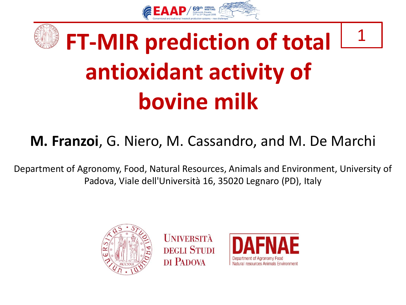



### 1 **FT-MIR prediction of total antioxidant activity of bovine milk**

#### **M. Franzoi**, G. Niero, M. Cassandro, and M. De Marchi

Department of Agronomy, Food, Natural Resources, Animals and Environment, University of Padova, Viale dell'Università 16, 35020 Legnaro (PD), Italy



**UNIVERSITÀ DEGLI STUDI** DI PADOVA

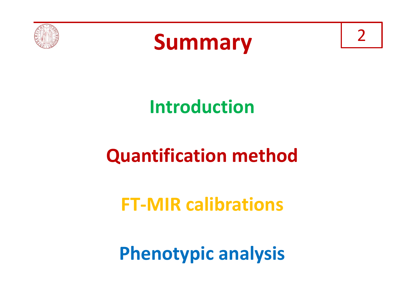



## **Introduction**

## **Quantification method**

## **FT-MIR calibrations**

**Phenotypic analysis**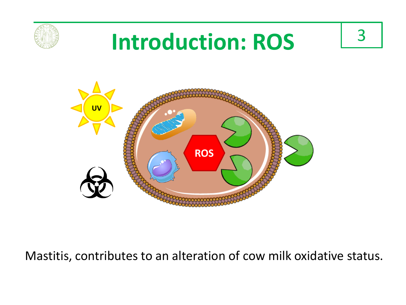

# **Introduction: ROS**

3



Mastitis, contributes to an alteration of cow milk oxidative status.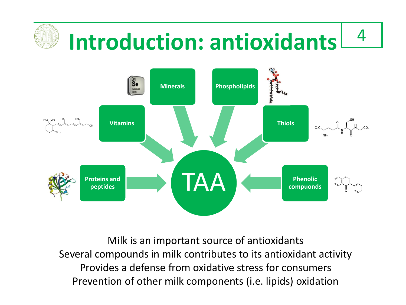

Milk is an important source of antioxidants Several compounds in milk contributes to its antioxidant activity Provides a defense from oxidative stress for consumers Prevention of other milk components (i.e. lipids) oxidation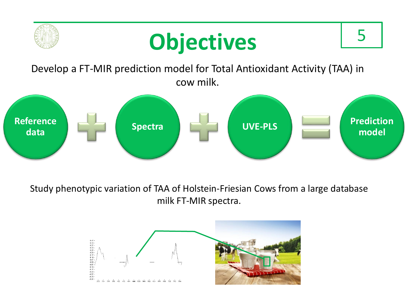

Study phenotypic variation of TAA of Holstein-Friesian Cows from a large database milk FT-MIR spectra.

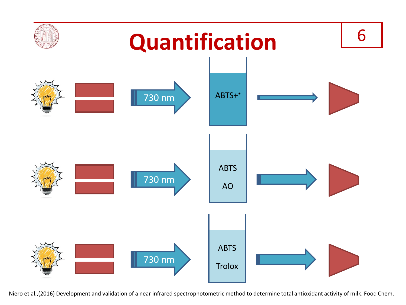

Niero et al.,(2016) Development and validation of a near infrared spectrophotometric method to determine total antioxidant activity of milk. Food Chem.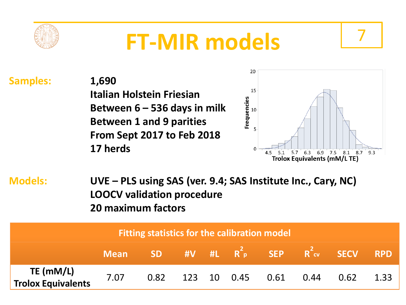

## **FT-MIR models**

**Samples: 1,690 Italian Holstein Friesian Between 6 – 536 days in milk Between 1 and 9 parities From Sept 2017 to Feb 2018 17 herds**



7

**Models: UVE – PLS using SAS (ver. 9.4; SAS Institute Inc., Cary, NC) LOOCV validation procedure 20 maximum factors**

| Fitting statistics for the calibration model |      |  |  |  |  |                            |  |                                             |      |
|----------------------------------------------|------|--|--|--|--|----------------------------|--|---------------------------------------------|------|
|                                              |      |  |  |  |  |                            |  | Mean SD #V #L $R^2$ p SEP $R^2$ cv SECV RPD |      |
| <b>TE (mM/L)</b><br>Trolox Equivalents       | 7.07 |  |  |  |  | 0.82 123 10 0.45 0.61 0.44 |  | 0.62                                        | 1.33 |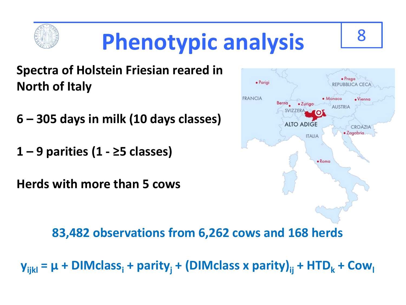

#### **Spectra of Holstein Friesian reared in North of Italy**

- **6 – 305 days in milk (10 days classes)**
- **1 – 9 parities (1 - ≥5 classes)**

**Herds with more than 5 cows**



**83,482 observations from 6,262 cows and 168 herds**

 $y_{ijkl} = \mu + DIMclass_i + parity_i + (DIMclass \times parity)_{ii} + HTD_k + Cow_l$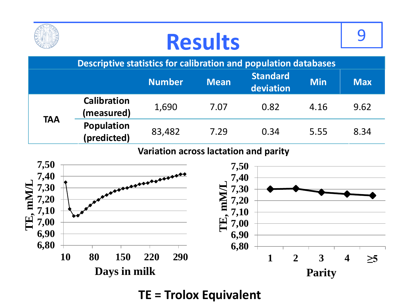|                                                                 | <b>Results</b>                   |                |                          |                       |            |            |  |  |  |
|-----------------------------------------------------------------|----------------------------------|----------------|--------------------------|-----------------------|------------|------------|--|--|--|
| Descriptive statistics for calibration and population databases |                                  |                |                          |                       |            |            |  |  |  |
|                                                                 |                                  | <b>Number</b>  | <b>Mean</b>              | Standard<br>deviation | <b>Min</b> | <b>Max</b> |  |  |  |
| <b>TAA</b>                                                      | <b>Calibration</b><br>(measured) | 1,690          | 7.07                     | 0.82                  | 4.16       | 9.62       |  |  |  |
|                                                                 | <b>Population</b><br>(predicted) | 83,482         | 7.29                     | 0.34                  | 5.55       | 8.34       |  |  |  |
| Variation across lactation and parity                           |                                  |                |                          |                       |            |            |  |  |  |
| 7,50<br>7.40                                                    |                                  | $\overline{1}$ | 7,50<br>$7\,\mathrm{40}$ |                       |            |            |  |  |  |



**TE = Trolox Equivalent**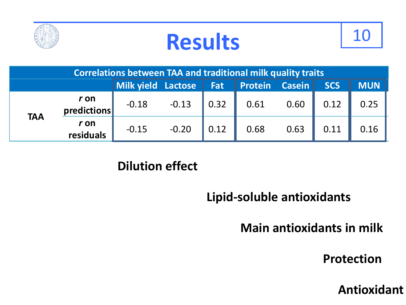





| <b>Correlations between TAA and traditional milk quality traits</b> |                                  |                                    |                           |                    |      |               |            |            |
|---------------------------------------------------------------------|----------------------------------|------------------------------------|---------------------------|--------------------|------|---------------|------------|------------|
|                                                                     |                                  | Milk yield Lactose   Fat   Protein |                           |                    |      | <b>Casein</b> | <b>SCS</b> | <b>MUN</b> |
| <b>TAA</b>                                                          | $rac{r \text{ on}}{predictions}$ |                                    | $-0.18$ $-0.13$ 0.32 0.61 |                    |      | 0.60          | 0.12       | 0.25       |
|                                                                     | r on<br>residuals                | $-0.15$                            | $-0.20$                   | $\vert 0.12 \vert$ | 0.68 | 0.63          | 0.11       | 0.16       |

#### **Dilution effect**

#### **Lipid-soluble antioxidants**

#### **Main antioxidants in milk**

**Protection**

**Antioxidant**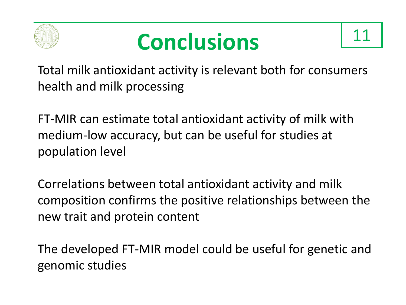





Total milk antioxidant activity is relevant both for consumers health and milk processing

FT-MIR can estimate total antioxidant activity of milk with medium-low accuracy, but can be useful for studies at population level

Correlations between total antioxidant activity and milk composition confirms the positive relationships between the new trait and protein content

The developed FT-MIR model could be useful for genetic and genomic studies